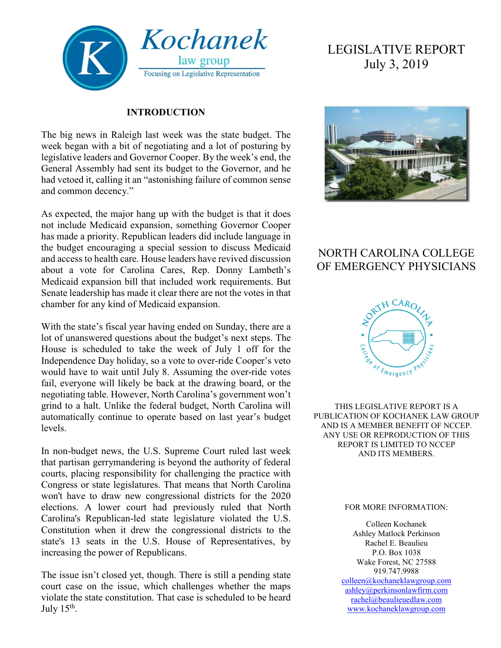

#### **INTRODUCTION**

The big news in Raleigh last week was the state budget. The week began with a bit of negotiating and a lot of posturing by legislative leaders and Governor Cooper. By the week's end, the General Assembly had sent its budget to the Governor, and he had vetoed it, calling it an "astonishing failure of common sense and common decency."

As expected, the major hang up with the budget is that it does not include Medicaid expansion, something Governor Cooper has made a priority. Republican leaders did include language in the budget encouraging a special session to discuss Medicaid and access to health care. House leaders have revived discussion about a vote for Carolina Cares, Rep. Donny Lambeth's Medicaid expansion bill that included work requirements. But Senate leadership has made it clear there are not the votes in that chamber for any kind of Medicaid expansion.

With the state's fiscal year having ended on Sunday, there are a lot of unanswered questions about the budget's next steps. The House is scheduled to take the week of July 1 off for the Independence Day holiday, so a vote to over-ride Cooper's veto would have to wait until July 8. Assuming the over-ride votes fail, everyone will likely be back at the drawing board, or the negotiating table. However, North Carolina's government won't grind to a halt. Unlike the federal budget, North Carolina will automatically continue to operate based on last year's budget levels.

In non-budget news, the U.S. Supreme Court ruled last week that partisan gerrymandering is beyond the authority of federal courts, placing responsibility for challenging the practice with Congress or state legislatures. That means that North Carolina won't have to draw new congressional districts for the 2020 elections. A lower court had previously ruled that North Carolina's Republican-led state legislature violated the U.S. Constitution when it drew the congressional districts to the state's 13 seats in the U.S. House of Representatives, by increasing the power of Republicans.

The issue isn't closed yet, though. There is still a pending state court case on the issue, which challenges whether the maps violate the state constitution. That case is scheduled to be heard July  $15<sup>th</sup>$ .

# LEGISLATIVE REPORT July 3, 2019



# NORTH CAROLINA COLLEGE OF EMERGENCY PHYSICIANS



THIS LEGISLATIVE REPORT IS A PUBLICATION OF KOCHANEK LAW GROUP AND IS A MEMBER BENEFIT OF NCCEP. ANY USE OR REPRODUCTION OF THIS REPORT IS LIMITED TO NCCEP AND ITS MEMBERS.

#### FOR MORE INFORMATION:

Colleen Kochanek Ashley Matlock Perkinson Rachel E. Beaulieu P.O. Box 1038 Wake Forest, NC 27588 919.747.9988 [colleen@kochaneklawgroup.com](mailto:colleen@kochaneklawgroup.com) [ashley@perkinsonlawfirm.com](mailto:ashley@perkinsonlawfirm.com) [rachel@beaulieuedlaw.com](mailto:rachel@beaulieuedlaw.com) [www.kochaneklawgroup.com](http://www.kochaneklawgroup.com/)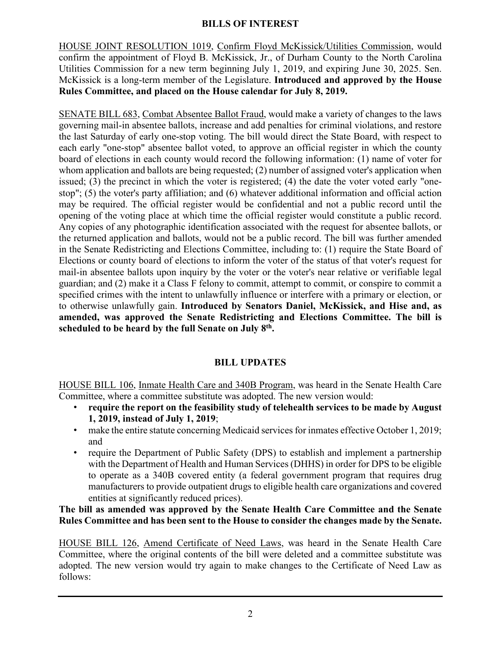HOUSE JOINT RESOLUTION 1019, Confirm Floyd McKissick/Utilities Commission, would confirm the appointment of Floyd B. McKissick, Jr., of Durham County to the North Carolina Utilities Commission for a new term beginning July 1, 2019, and expiring June 30, 2025. Sen. McKissick is a long-term member of the Legislature. **Introduced and approved by the House Rules Committee, and placed on the House calendar for July 8, 2019.**

SENATE BILL 683, Combat Absentee Ballot Fraud, would make a variety of changes to the laws governing mail-in absentee ballots, increase and add penalties for criminal violations, and restore the last Saturday of early one-stop voting. The bill would direct the State Board, with respect to each early "one-stop" absentee ballot voted, to approve an official register in which the county board of elections in each county would record the following information: (1) name of voter for whom application and ballots are being requested; (2) number of assigned voter's application when issued; (3) the precinct in which the voter is registered; (4) the date the voter voted early "onestop"; (5) the voter's party affiliation; and (6) whatever additional information and official action may be required. The official register would be confidential and not a public record until the opening of the voting place at which time the official register would constitute a public record. Any copies of any photographic identification associated with the request for absentee ballots, or the returned application and ballots, would not be a public record. The bill was further amended in the Senate Redistricting and Elections Committee, including to: (1) require the State Board of Elections or county board of elections to inform the voter of the status of that voter's request for mail-in absentee ballots upon inquiry by the voter or the voter's near relative or verifiable legal guardian; and (2) make it a Class F felony to commit, attempt to commit, or conspire to commit a specified crimes with the intent to unlawfully influence or interfere with a primary or election, or to otherwise unlawfully gain. **Introduced by Senators Daniel, McKissick, and Hise and, as amended, was approved the Senate Redistricting and Elections Committee. The bill is scheduled to be heard by the full Senate on July 8th.**

# **BILL UPDATES**

HOUSE BILL 106, Inmate Health Care and 340B Program, was heard in the Senate Health Care Committee, where a committee substitute was adopted. The new version would:

- **require the report on the feasibility study of telehealth services to be made by August 1, 2019, instead of July 1, 2019**;
- make the entire statute concerning Medicaid services for inmates effective October 1, 2019; and
- require the Department of Public Safety (DPS) to establish and implement a partnership with the Department of Health and Human Services (DHHS) in order for DPS to be eligible to operate as a 340B covered entity (a federal government program that requires drug manufacturers to provide outpatient drugs to eligible health care organizations and covered entities at significantly reduced prices).

#### **The bill as amended was approved by the Senate Health Care Committee and the Senate Rules Committee and has been sent to the House to consider the changes made by the Senate.**

HOUSE BILL 126, Amend Certificate of Need Laws, was heard in the Senate Health Care Committee, where the original contents of the bill were deleted and a committee substitute was adopted. The new version would try again to make changes to the Certificate of Need Law as follows: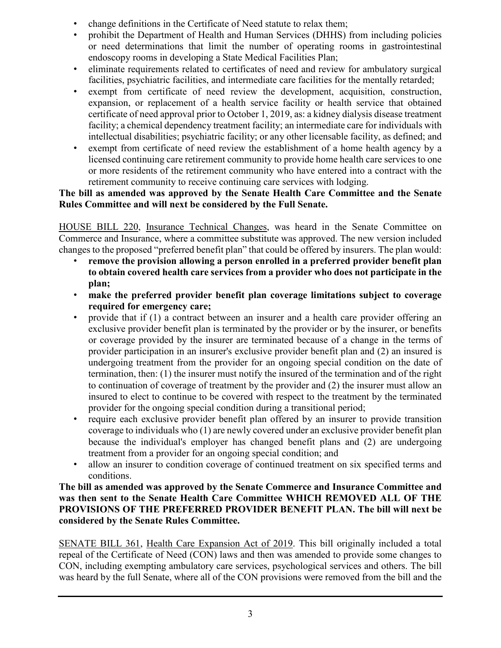- change definitions in the Certificate of Need statute to relax them;
- prohibit the Department of Health and Human Services (DHHS) from including policies or need determinations that limit the number of operating rooms in gastrointestinal endoscopy rooms in developing a State Medical Facilities Plan;
- eliminate requirements related to certificates of need and review for ambulatory surgical facilities, psychiatric facilities, and intermediate care facilities for the mentally retarded;
- exempt from certificate of need review the development, acquisition, construction, expansion, or replacement of a health service facility or health service that obtained certificate of need approval prior to October 1, 2019, as: a kidney dialysis disease treatment facility; a chemical dependency treatment facility; an intermediate care for individuals with intellectual disabilities; psychiatric facility; or any other licensable facility, as defined; and
- exempt from certificate of need review the establishment of a home health agency by a licensed continuing care retirement community to provide home health care services to one or more residents of the retirement community who have entered into a contract with the retirement community to receive continuing care services with lodging.

### **The bill as amended was approved by the Senate Health Care Committee and the Senate Rules Committee and will next be considered by the Full Senate.**

HOUSE BILL 220, Insurance Technical Changes, was heard in the Senate Committee on Commerce and Insurance, where a committee substitute was approved. The new version included changes to the proposed "preferred benefit plan" that could be offered by insurers. The plan would:

- **remove the provision allowing a person enrolled in a preferred provider benefit plan to obtain covered health care services from a provider who does not participate in the plan;**
- **make the preferred provider benefit plan coverage limitations subject to coverage required for emergency care;**
- provide that if (1) a contract between an insurer and a health care provider offering an exclusive provider benefit plan is terminated by the provider or by the insurer, or benefits or coverage provided by the insurer are terminated because of a change in the terms of provider participation in an insurer's exclusive provider benefit plan and (2) an insured is undergoing treatment from the provider for an ongoing special condition on the date of termination, then: (1) the insurer must notify the insured of the termination and of the right to continuation of coverage of treatment by the provider and (2) the insurer must allow an insured to elect to continue to be covered with respect to the treatment by the terminated provider for the ongoing special condition during a transitional period;
- require each exclusive provider benefit plan offered by an insurer to provide transition coverage to individuals who (1) are newly covered under an exclusive provider benefit plan because the individual's employer has changed benefit plans and (2) are undergoing treatment from a provider for an ongoing special condition; and
- allow an insurer to condition coverage of continued treatment on six specified terms and conditions.

#### **The bill as amended was approved by the Senate Commerce and Insurance Committee and was then sent to the Senate Health Care Committee WHICH REMOVED ALL OF THE PROVISIONS OF THE PREFERRED PROVIDER BENEFIT PLAN. The bill will next be considered by the Senate Rules Committee.**

SENATE BILL 361, Health Care Expansion Act of 2019. This bill originally included a total repeal of the Certificate of Need (CON) laws and then was amended to provide some changes to CON, including exempting ambulatory care services, psychological services and others. The bill was heard by the full Senate, where all of the CON provisions were removed from the bill and the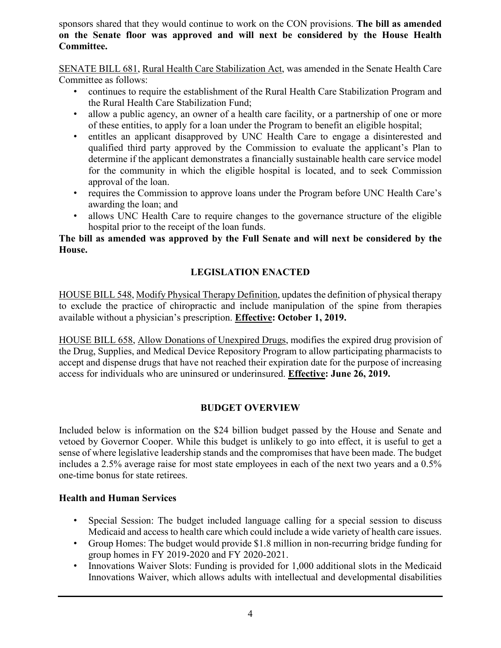sponsors shared that they would continue to work on the CON provisions. **The bill as amended on the Senate floor was approved and will next be considered by the House Health Committee.**

SENATE BILL 681, Rural Health Care Stabilization Act, was amended in the Senate Health Care Committee as follows:

- continues to require the establishment of the Rural Health Care Stabilization Program and the Rural Health Care Stabilization Fund;
- allow a public agency, an owner of a health care facility, or a partnership of one or more of these entities, to apply for a loan under the Program to benefit an eligible hospital;
- entitles an applicant disapproved by UNC Health Care to engage a disinterested and qualified third party approved by the Commission to evaluate the applicant's Plan to determine if the applicant demonstrates a financially sustainable health care service model for the community in which the eligible hospital is located, and to seek Commission approval of the loan.
- requires the Commission to approve loans under the Program before UNC Health Care's awarding the loan; and
- allows UNC Health Care to require changes to the governance structure of the eligible hospital prior to the receipt of the loan funds.

#### **The bill as amended was approved by the Full Senate and will next be considered by the House.**

# **LEGISLATION ENACTED**

HOUSE BILL 548, Modify Physical Therapy Definition, updates the definition of physical therapy to exclude the practice of chiropractic and include manipulation of the spine from therapies available without a physician's prescription. **Effective: October 1, 2019.**

HOUSE BILL 658, Allow Donations of Unexpired Drugs, modifies the expired drug provision of the Drug, Supplies, and Medical Device Repository Program to allow participating pharmacists to accept and dispense drugs that have not reached their expiration date for the purpose of increasing access for individuals who are uninsured or underinsured. **Effective: June 26, 2019.**

#### **BUDGET OVERVIEW**

Included below is information on the \$24 billion budget passed by the House and Senate and vetoed by Governor Cooper. While this budget is unlikely to go into effect, it is useful to get a sense of where legislative leadership stands and the compromises that have been made. The budget includes a 2.5% average raise for most state employees in each of the next two years and a 0.5% one-time bonus for state retirees.

# **Health and Human Services**

- Special Session: The budget included language calling for a special session to discuss Medicaid and access to health care which could include a wide variety of health care issues.
- Group Homes: The budget would provide \$1.8 million in non-recurring bridge funding for group homes in FY 2019-2020 and FY 2020-2021.
- Innovations Waiver Slots: Funding is provided for 1,000 additional slots in the Medicaid Innovations Waiver, which allows adults with intellectual and developmental disabilities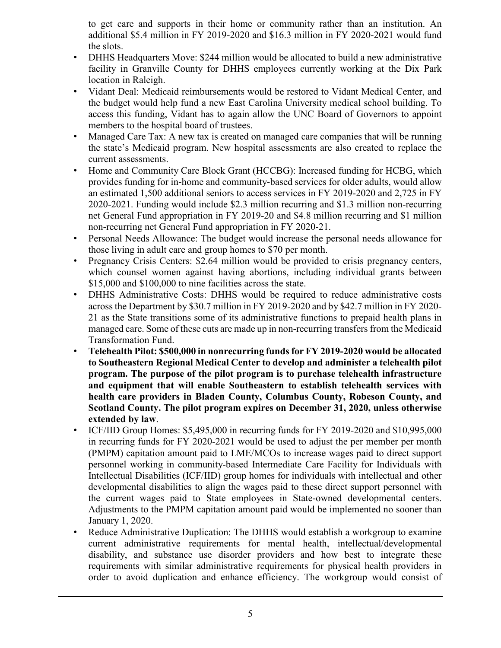to get care and supports in their home or community rather than an institution. An additional \$5.4 million in FY 2019-2020 and \$16.3 million in FY 2020-2021 would fund the slots.

- DHHS Headquarters Move: \$244 million would be allocated to build a new administrative facility in Granville County for DHHS employees currently working at the Dix Park location in Raleigh.
- Vidant Deal: Medicaid reimbursements would be restored to Vidant Medical Center, and the budget would help fund a new East Carolina University medical school building. To access this funding, Vidant has to again allow the UNC Board of Governors to appoint members to the hospital board of trustees.
- Managed Care Tax: A new tax is created on managed care companies that will be running the state's Medicaid program. New hospital assessments are also created to replace the current assessments.
- Home and Community Care Block Grant (HCCBG): Increased funding for HCBG, which provides funding for in-home and community-based services for older adults, would allow an estimated 1,500 additional seniors to access services in FY 2019-2020 and 2,725 in FY 2020-2021. Funding would include \$2.3 million recurring and \$1.3 million non-recurring net General Fund appropriation in FY 2019-20 and \$4.8 million recurring and \$1 million non-recurring net General Fund appropriation in FY 2020-21.
- Personal Needs Allowance: The budget would increase the personal needs allowance for those living in adult care and group homes to \$70 per month.
- Pregnancy Crisis Centers: \$2.64 million would be provided to crisis pregnancy centers, which counsel women against having abortions, including individual grants between \$15,000 and \$100,000 to nine facilities across the state.
- DHHS Administrative Costs: DHHS would be required to reduce administrative costs across the Department by \$30.7 million in FY 2019-2020 and by \$42.7 million in FY 2020- 21 as the State transitions some of its administrative functions to prepaid health plans in managed care. Some of these cuts are made up in non-recurring transfers from the Medicaid Transformation Fund.
- **Telehealth Pilot: \$500,000 in nonrecurring funds for FY 2019-2020 would be allocated to Southeastern Regional Medical Center to develop and administer a telehealth pilot program. The purpose of the pilot program is to purchase telehealth infrastructure and equipment that will enable Southeastern to establish telehealth services with health care providers in Bladen County, Columbus County, Robeson County, and Scotland County. The pilot program expires on December 31, 2020, unless otherwise extended by law**.
- ICF/IID Group Homes: \$5,495,000 in recurring funds for FY 2019-2020 and \$10,995,000 in recurring funds for FY 2020-2021 would be used to adjust the per member per month (PMPM) capitation amount paid to LME/MCOs to increase wages paid to direct support personnel working in community-based Intermediate Care Facility for Individuals with Intellectual Disabilities (ICF/IID) group homes for individuals with intellectual and other developmental disabilities to align the wages paid to these direct support personnel with the current wages paid to State employees in State-owned developmental centers. Adjustments to the PMPM capitation amount paid would be implemented no sooner than January 1, 2020.
- Reduce Administrative Duplication: The DHHS would establish a workgroup to examine current administrative requirements for mental health, intellectual/developmental disability, and substance use disorder providers and how best to integrate these requirements with similar administrative requirements for physical health providers in order to avoid duplication and enhance efficiency. The workgroup would consist of